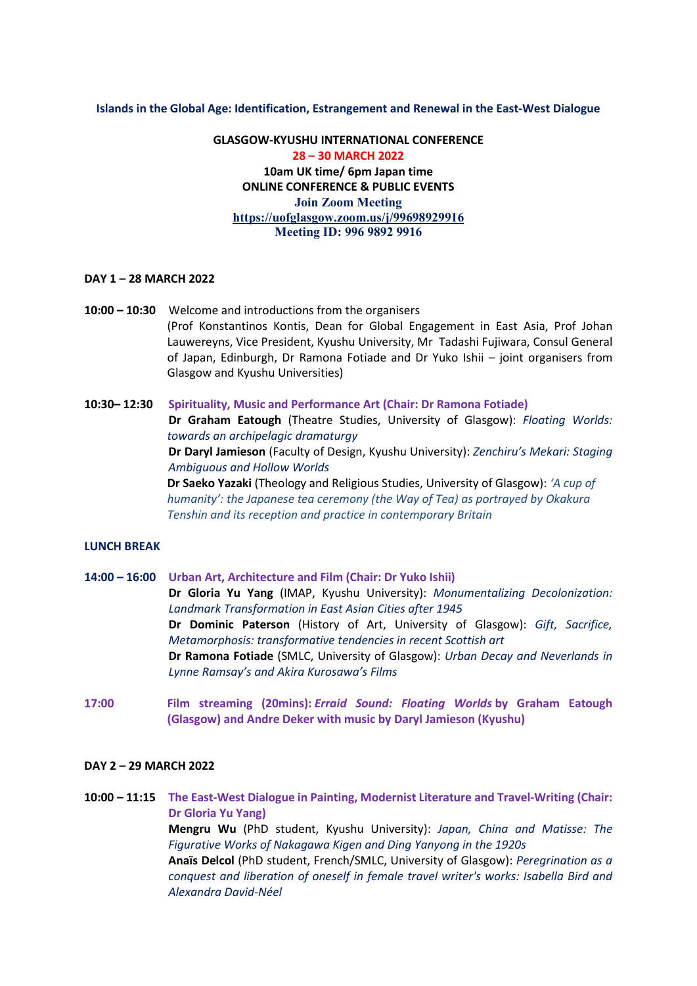### **Islands in the Global Age: Identification, Estrangement and Renewal in the East-West Dialogue**

**GLASGOW-KYUSHU INTERNATIONAL CONFERENCE 28 – 30 MARCH 2022 10am UK time/ 6pm Japan time ONLINE CONFERENCE & PUBLIC EVENTS Join Zoom Meeting <https://uofglasgow.zoom.us/j/99698929916> Meeting ID: 996 9892 9916**

## **DAY 1 – 28 MARCH 2022**

- **10:00 10:30** Welcome and introductions from the organisers (Prof Konstantinos Kontis, Dean for Global Engagement in East Asia, Prof Johan Lauwereyns, Vice President, Kyushu University, Mr Tadashi Fujiwara, Consul General of Japan, Edinburgh, Dr Ramona Fotiade and Dr Yuko Ishii – joint organisers from Glasgow and Kyushu Universities)
- **10:30– 12:30 Spirituality, Music and Performance Art (Chair: Dr Ramona Fotiade) Dr Graham Eatough** (Theatre Studies, University of Glasgow): *Floating Worlds: towards an archipelagic dramaturgy* **Dr Daryl Jamieson** (Faculty of Design, Kyushu University): *Zenchiru's Mekari: Staging Ambiguous and Hollow Worlds* **Dr Saeko Yazaki** (Theology and Religious Studies, University of Glasgow): *'A cup of humanity': the Japanese tea ceremony (the Way of Tea) as portrayed by Okakura Tenshin and its reception and practice in contemporary Britain*

## **LUNCH BREAK**

- **14:00 16:00 Urban Art, Architecture and Film (Chair: Dr Yuko Ishii) Dr Gloria Yu Yang** (IMAP, Kyushu University): *Monumentalizing Decolonization: Landmark Transformation in East Asian Cities after 1945* **Dr Dominic Paterson** (History of Art, University of Glasgow): *Gift, Sacrifice, Metamorphosis: transformative tendencies in recent Scottish art*  **Dr Ramona Fotiade** (SMLC, University of Glasgow): *Urban Decay and Neverlands in Lynne Ramsay's and Akira Kurosawa's Films*
- **17:00 Film streaming (20mins):** *Erraid Sound: Floating Worlds* **by Graham Eatough (Glasgow) and Andre Deker with music by Daryl Jamieson (Kyushu)**

## **DAY 2 – 29 MARCH 2022**

**10:00 – 11:15 The East-West Dialogue in Painting, Modernist Literature and Travel-Writing (Chair: Dr Gloria Yu Yang) Mengru Wu** (PhD student, Kyushu University): *Japan, China and Matisse: The Figurative Works of Nakagawa Kigen and Ding Yanyong in the 1920s* **Anaïs Delcol** (PhD student, French/SMLC, University of Glasgow): *Peregrination as a conquest and liberation of oneself in female travel writer's works: Isabella Bird and Alexandra David-Néel*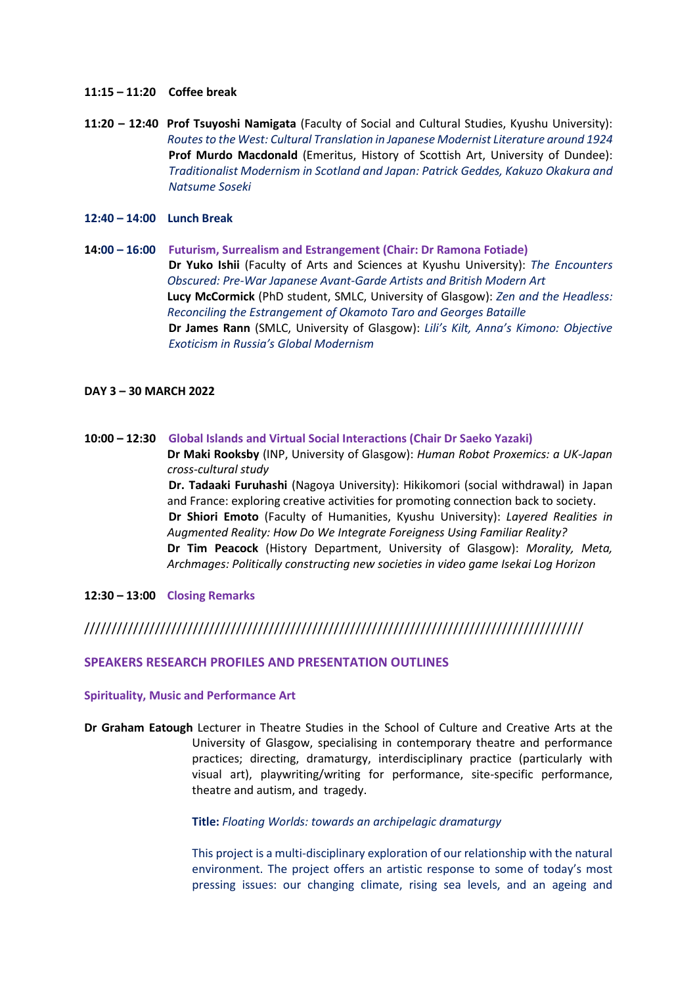- **11:15 – 11:20 Coffee break**
- **11:20 – 12:40 Prof Tsuyoshi Namigata** (Faculty of Social and Cultural Studies, Kyushu University): *Routes to the West: Cultural Translation in Japanese Modernist Literature around 1924* **Prof Murdo Macdonald** (Emeritus, History of Scottish Art, University of Dundee): *Traditionalist Modernism in Scotland and Japan: Patrick Geddes, Kakuzo Okakura and Natsume Soseki*
- **12:40 – 14:00 Lunch Break**
- **14:00 – 16:00 Futurism, Surrealism and Estrangement (Chair: Dr Ramona Fotiade) Dr Yuko Ishii** (Faculty of Arts and Sciences at Kyushu University): *The Encounters Obscured: Pre-War Japanese Avant-Garde Artists and British Modern Art* **Lucy McCormick** (PhD student, SMLC, University of Glasgow): *Zen and the Headless: Reconciling the Estrangement of Okamoto Taro and Georges Bataille* **Dr James Rann** (SMLC, University of Glasgow): *Lili's Kilt, Anna's Kimono: Objective Exoticism in Russia's Global Modernism*

### **DAY 3 – 30 MARCH 2022**

**10:00 – 12:30 Global Islands and Virtual Social Interactions (Chair Dr Saeko Yazaki) Dr Maki Rooksby** (INP, University of Glasgow): *Human Robot Proxemics: a UK-Japan cross-cultural study*

**Dr. Tadaaki Furuhashi** (Nagoya University): Hikikomori (social withdrawal) in Japan and France: exploring creative activities for promoting connection back to society. **Dr Shiori Emoto** (Faculty of Humanities, Kyushu University): *Layered Realities in Augmented Reality: How Do We Integrate Foreigness Using Familiar Reality?* **Dr Tim Peacock** (History Department, University of Glasgow): *Morality, Meta, Archmages: Politically constructing new societies in video game Isekai Log Horizon*

## **12:30 – 13:00 Closing Remarks**

# ////////////////////////////////////////////////////////////////////////////////////////////

### **SPEAKERS RESEARCH PROFILES AND PRESENTATION OUTLINES**

### **Spirituality, Music and Performance Art**

**Dr Graham Eatough** Lecturer in Theatre Studies in the School of Culture and Creative Arts at the University of Glasgow, specialising in contemporary theatre and performance practices; directing, dramaturgy, interdisciplinary practice (particularly with visual art), playwriting/writing for performance, site-specific performance, theatre and autism, and tragedy.

### **Title:** *Floating Worlds: towards an archipelagic dramaturgy*

This project is a multi-disciplinary exploration of our relationship with the natural environment. The project offers an artistic response to some of today's most pressing issues: our changing climate, rising sea levels, and an ageing and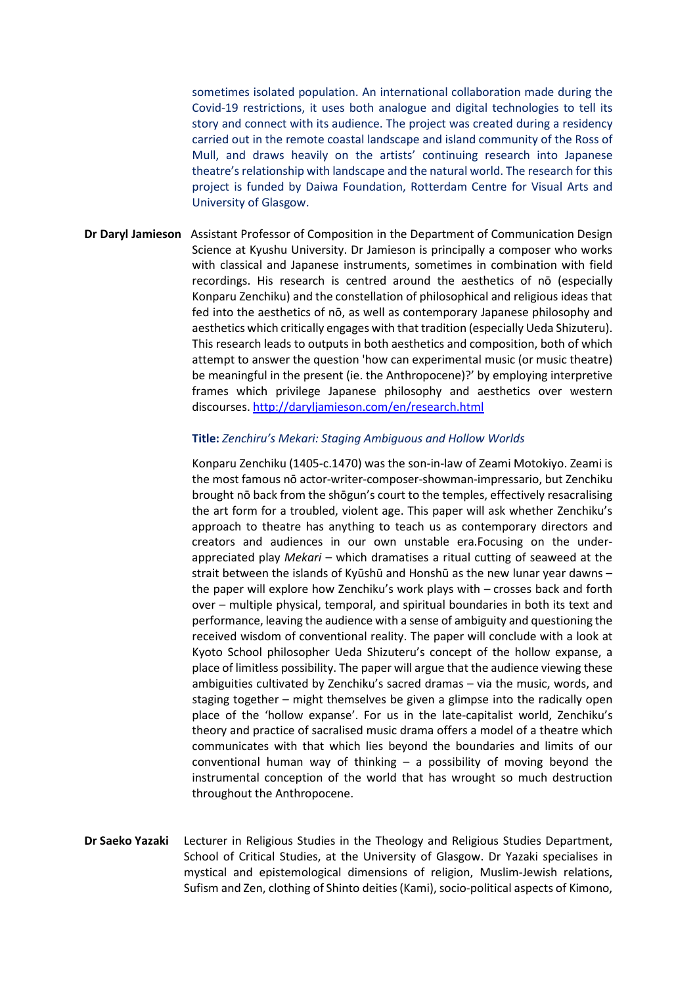sometimes isolated population. An international collaboration made during the Covid-19 restrictions, it uses both analogue and digital technologies to tell its story and connect with its audience. The project was created during a residency carried out in the remote coastal landscape and island community of the Ross of Mull, and draws heavily on the artists' continuing research into Japanese theatre's relationship with landscape and the natural world. The research for this project is funded by Daiwa Foundation, Rotterdam Centre for Visual Arts and University of Glasgow.

**Dr Daryl Jamieson** Assistant Professor of Composition in the Department of Communication Design Science at Kyushu University. Dr Jamieson is principally a composer who works with classical and Japanese instruments, sometimes in combination with field recordings. His research is centred around the aesthetics of nō (especially Konparu Zenchiku) and the constellation of philosophical and religious ideas that fed into the aesthetics of nō, as well as contemporary Japanese philosophy and aesthetics which critically engages with that tradition (especially Ueda Shizuteru). This research leads to outputs in both aesthetics and composition, both of which attempt to answer the question 'how can experimental music (or music theatre) be meaningful in the present (ie. the Anthropocene)?' by employing interpretive frames which privilege Japanese philosophy and aesthetics over western discourses.<http://daryljamieson.com/en/research.html>

## **Title:** *Zenchiru's Mekari: Staging Ambiguous and Hollow Worlds*

Konparu Zenchiku (1405-c.1470) was the son-in-law of Zeami Motokiyo. Zeami is the most famous nō actor-writer-composer-showman-impressario, but Zenchiku brought nō back from the shōgun's court to the temples, effectively resacralising the art form for a troubled, violent age. This paper will ask whether Zenchiku's approach to theatre has anything to teach us as contemporary directors and creators and audiences in our own unstable era.Focusing on the underappreciated play *Mekari* – which dramatises a ritual cutting of seaweed at the strait between the islands of Kyūshū and Honshū as the new lunar year dawns – the paper will explore how Zenchiku's work plays with – crosses back and forth over – multiple physical, temporal, and spiritual boundaries in both its text and performance, leaving the audience with a sense of ambiguity and questioning the received wisdom of conventional reality. The paper will conclude with a look at Kyoto School philosopher Ueda Shizuteru's concept of the hollow expanse, a place of limitless possibility. The paper will argue that the audience viewing these ambiguities cultivated by Zenchiku's sacred dramas – via the music, words, and staging together – might themselves be given a glimpse into the radically open place of the 'hollow expanse'. For us in the late-capitalist world, Zenchiku's theory and practice of sacralised music drama offers a model of a theatre which communicates with that which lies beyond the boundaries and limits of our conventional human way of thinking  $-$  a possibility of moving beyond the instrumental conception of the world that has wrought so much destruction throughout the Anthropocene.

**Dr Saeko Yazaki** Lecturer in Religious Studies in the Theology and Religious Studies Department, School of Critical Studies, at the University of Glasgow. Dr Yazaki specialises in mystical and epistemological dimensions of religion, Muslim-Jewish relations, Sufism and Zen, clothing of Shinto deities (Kami), socio-political aspects of Kimono,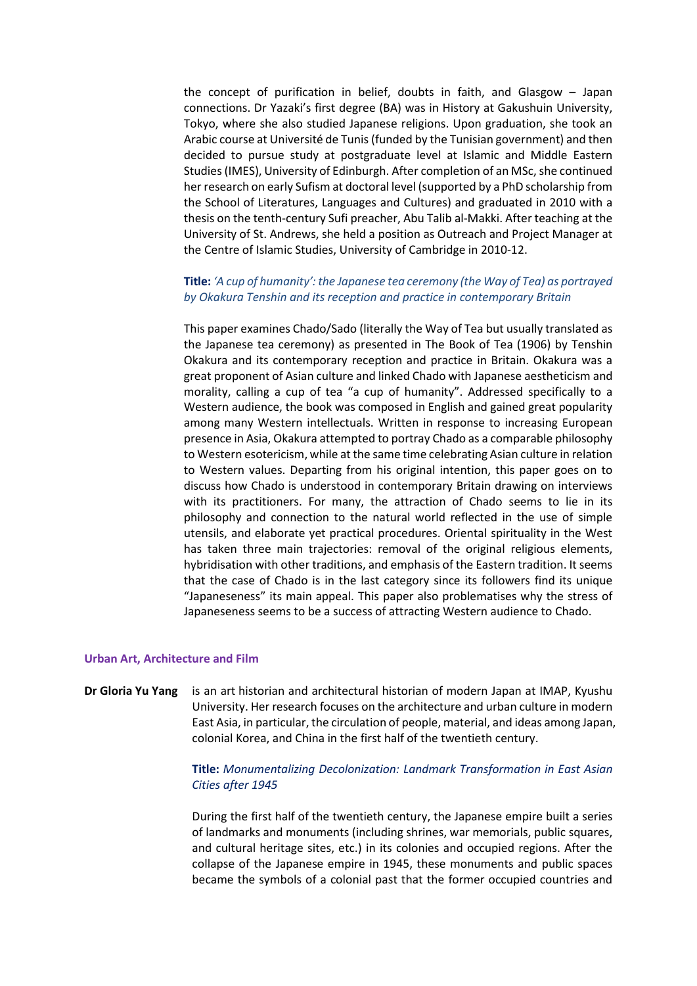the concept of purification in belief, doubts in faith, and Glasgow – Japan connections. Dr Yazaki's first degree (BA) was in History at Gakushuin University, Tokyo, where she also studied Japanese religions. Upon graduation, she took an Arabic course at Université de Tunis (funded by the Tunisian government) and then decided to pursue study at postgraduate level at Islamic and Middle Eastern Studies (IMES), University of Edinburgh. After completion of an MSc, she continued her research on early Sufism at doctoral level (supported by a PhD scholarship from the School of Literatures, Languages and Cultures) and graduated in 2010 with a thesis on the tenth-century Sufi preacher, Abu Talib al-Makki. After teaching at the University of St. Andrews, she held a position as Outreach and Project Manager at the Centre of Islamic Studies, University of Cambridge in 2010-12.

# **Title:** *'A cup of humanity': the Japanese tea ceremony (the Way of Tea) as portrayed by Okakura Tenshin and its reception and practice in contemporary Britain*

This paper examines Chado/Sado (literally the Way of Tea but usually translated as the Japanese tea ceremony) as presented in The Book of Tea (1906) by Tenshin Okakura and its contemporary reception and practice in Britain. Okakura was a great proponent of Asian culture and linked Chado with Japanese aestheticism and morality, calling a cup of tea "a cup of humanity". Addressed specifically to a Western audience, the book was composed in English and gained great popularity among many Western intellectuals. Written in response to increasing European presence in Asia, Okakura attempted to portray Chado as a comparable philosophy to Western esotericism, while at the same time celebrating Asian culture in relation to Western values. Departing from his original intention, this paper goes on to discuss how Chado is understood in contemporary Britain drawing on interviews with its practitioners. For many, the attraction of Chado seems to lie in its philosophy and connection to the natural world reflected in the use of simple utensils, and elaborate yet practical procedures. Oriental spirituality in the West has taken three main trajectories: removal of the original religious elements, hybridisation with other traditions, and emphasis of the Eastern tradition. It seems that the case of Chado is in the last category since its followers find its unique "Japaneseness" its main appeal. This paper also problematises why the stress of Japaneseness seems to be a success of attracting Western audience to Chado.

### **Urban Art, Architecture and Film**

**Dr Gloria Yu Yang** is an art historian and architectural historian of modern Japan at IMAP, Kyushu University. Her research focuses on the architecture and urban culture in modern East Asia, in particular, the circulation of people, material, and ideas among Japan, colonial Korea, and China in the first half of the twentieth century.

## **Title:** *Monumentalizing Decolonization: Landmark Transformation in East Asian Cities after 1945*

During the first half of the twentieth century, the Japanese empire built a series of landmarks and monuments (including shrines, war memorials, public squares, and cultural heritage sites, etc.) in its colonies and occupied regions. After the collapse of the Japanese empire in 1945, these monuments and public spaces became the symbols of a colonial past that the former occupied countries and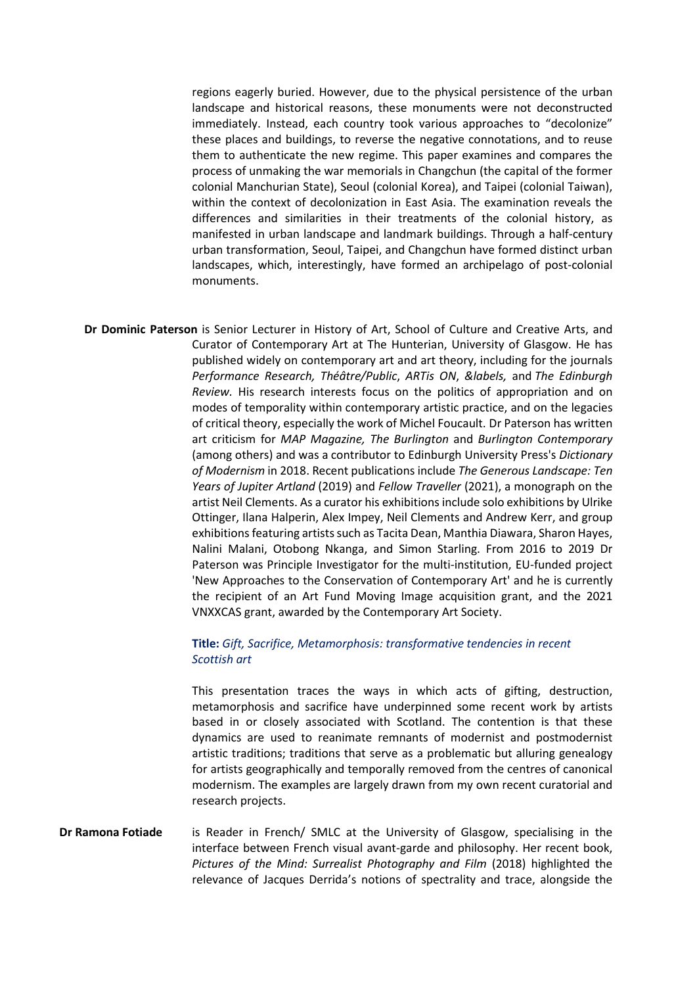regions eagerly buried. However, due to the physical persistence of the urban landscape and historical reasons, these monuments were not deconstructed immediately. Instead, each country took various approaches to "decolonize" these places and buildings, to reverse the negative connotations, and to reuse them to authenticate the new regime. This paper examines and compares the process of unmaking the war memorials in Changchun (the capital of the former colonial Manchurian State), Seoul (colonial Korea), and Taipei (colonial Taiwan), within the context of decolonization in East Asia. The examination reveals the differences and similarities in their treatments of the colonial history, as manifested in urban landscape and landmark buildings. Through a half-century urban transformation, Seoul, Taipei, and Changchun have formed distinct urban landscapes, which, interestingly, have formed an archipelago of post-colonial monuments.

**Dr Dominic Paterson** is Senior Lecturer in History of Art, School of Culture and Creative Arts, and Curator of Contemporary Art at The Hunterian, University of Glasgow. He has published widely on contemporary art and art theory, including for the journals *Performance Research, Théâtre/Public*, *ARTis ON*, *&labels,* and *The Edinburgh Review.* His research interests focus on the politics of appropriation and on modes of temporality within contemporary artistic practice, and on the legacies of critical theory, especially the work of Michel Foucault. Dr Paterson has written art criticism for *MAP Magazine, The Burlington* and *Burlington Contemporary*  (among others) and was a contributor to Edinburgh University Press's *Dictionary of Modernism* in 2018. Recent publications include *The Generous Landscape: Ten Years of Jupiter Artland* (2019) and *Fellow Traveller* (2021), a monograph on the artist Neil Clements. As a curator his exhibitions include solo exhibitions by Ulrike Ottinger, Ilana Halperin, Alex Impey, Neil Clements and Andrew Kerr, and group exhibitions featuring artists such as Tacita Dean, Manthia Diawara, Sharon Hayes, Nalini Malani, Otobong Nkanga, and Simon Starling. From 2016 to 2019 Dr Paterson was Principle Investigator for the multi-institution, EU-funded project 'New Approaches to the Conservation of Contemporary Art' and he is currently the recipient of an Art Fund Moving Image acquisition grant, and the 2021 VNXXCAS grant, awarded by the Contemporary Art Society.

# **Title:** *Gift, Sacrifice, Metamorphosis: transformative tendencies in recent Scottish art*

This presentation traces the ways in which acts of gifting, destruction, metamorphosis and sacrifice have underpinned some recent work by artists based in or closely associated with Scotland. The contention is that these dynamics are used to reanimate remnants of modernist and postmodernist artistic traditions; traditions that serve as a problematic but alluring genealogy for artists geographically and temporally removed from the centres of canonical modernism. The examples are largely drawn from my own recent curatorial and research projects.

**Dr Ramona Fotiade** is Reader in French/ SMLC at the University of Glasgow, specialising in the interface between French visual avant-garde and philosophy. Her recent book, *Pictures of the Mind: Surrealist Photography and Film* (2018) highlighted the relevance of Jacques Derrida's notions of spectrality and trace, alongside the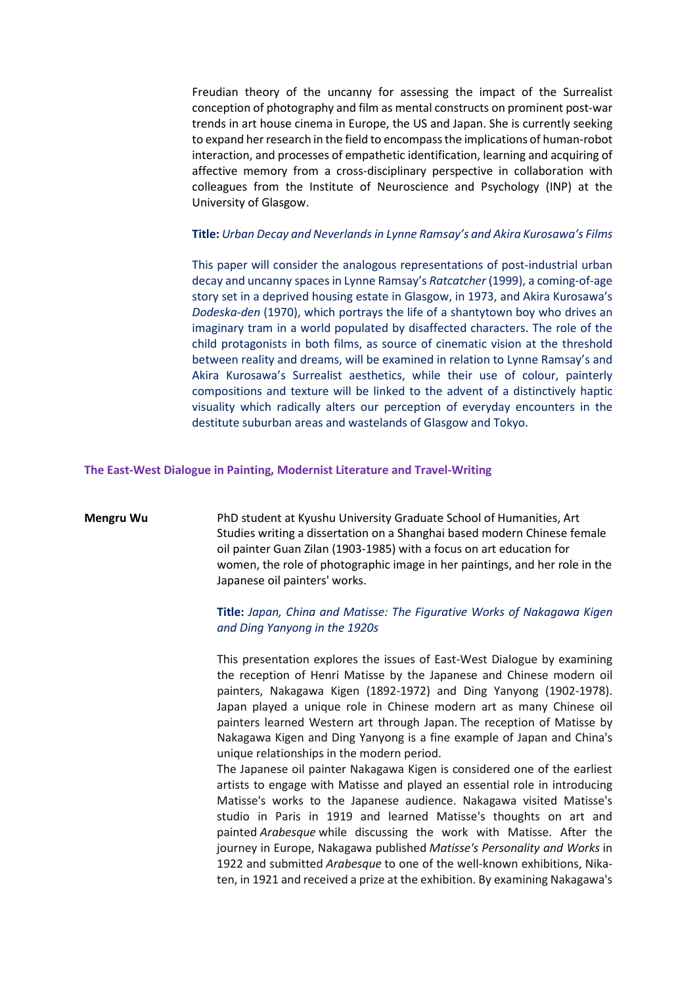Freudian theory of the uncanny for assessing the impact of the Surrealist conception of photography and film as mental constructs on prominent post-war trends in art house cinema in Europe, the US and Japan. She is currently seeking to expand her research in the field to encompass the implications of human-robot interaction, and processes of empathetic identification, learning and acquiring of affective memory from a cross-disciplinary perspective in collaboration with colleagues from the Institute of Neuroscience and Psychology (INP) at the University of Glasgow.

### **Title:** *Urban Decay and Neverlands in Lynne Ramsay's and Akira Kurosawa's Films*

This paper will consider the analogous representations of post-industrial urban decay and uncanny spaces in Lynne Ramsay's *Ratcatcher* (1999), a coming-of-age story set in a deprived housing estate in Glasgow, in 1973, and Akira Kurosawa's *Dodeska-den* (1970), which portrays the life of a shantytown boy who drives an imaginary tram in a world populated by disaffected characters. The role of the child protagonists in both films, as source of cinematic vision at the threshold between reality and dreams, will be examined in relation to Lynne Ramsay's and Akira Kurosawa's Surrealist aesthetics, while their use of colour, painterly compositions and texture will be linked to the advent of a distinctively haptic visuality which radically alters our perception of everyday encounters in the destitute suburban areas and wastelands of Glasgow and Tokyo.

### **The East-West Dialogue in Painting, Modernist Literature and Travel-Writing**

**Mengru Wu** PhD student at Kyushu University Graduate School of Humanities, Art Studies writing a dissertation on a Shanghai based modern Chinese female oil painter Guan Zilan (1903-1985) with a focus on art education for women, the role of photographic image in her paintings, and her role in the Japanese oil painters' works.

# **Title:** *Japan, China and Matisse: The Figurative Works of Nakagawa Kigen and Ding Yanyong in the 1920s*

This presentation explores the issues of East-West Dialogue by examining the reception of Henri Matisse by the Japanese and Chinese modern oil painters, Nakagawa Kigen (1892-1972) and Ding Yanyong (1902-1978). Japan played a unique role in Chinese modern art as many Chinese oil painters learned Western art through Japan. The reception of Matisse by Nakagawa Kigen and Ding Yanyong is a fine example of Japan and China's unique relationships in the modern period.

The Japanese oil painter Nakagawa Kigen is considered one of the earliest artists to engage with Matisse and played an essential role in introducing Matisse's works to the Japanese audience. Nakagawa visited Matisse's studio in Paris in 1919 and learned Matisse's thoughts on art and painted *Arabesque* while discussing the work with Matisse. After the journey in Europe, Nakagawa published *Matisse's Personality and Works* in 1922 and submitted *Arabesque* to one of the well-known exhibitions, Nikaten, in 1921 and received a prize at the exhibition. By examining Nakagawa's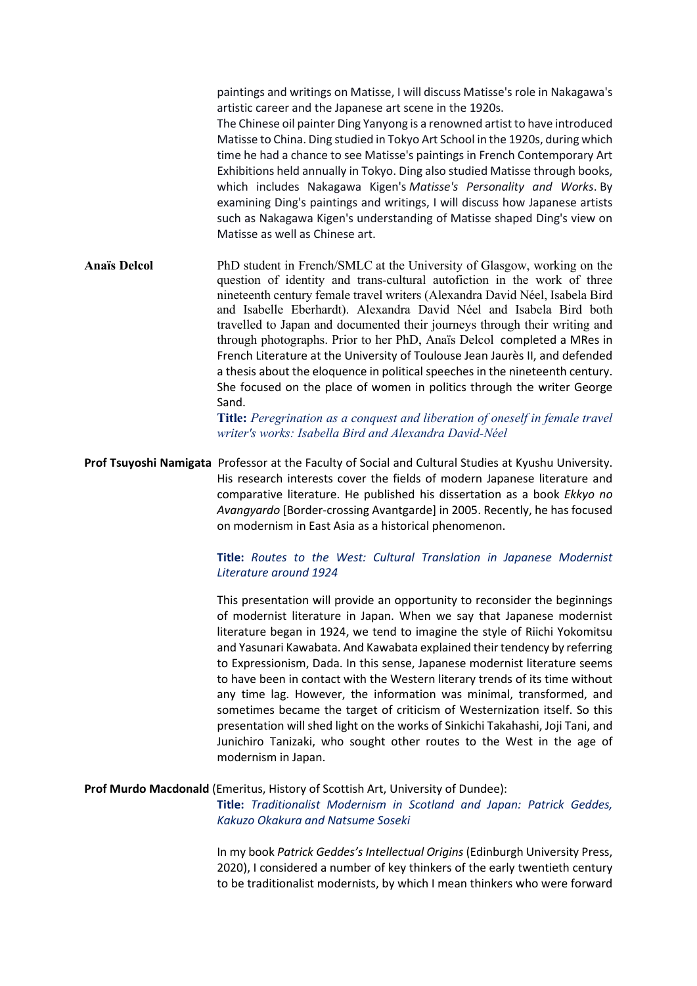paintings and writings on Matisse, I will discuss Matisse's role in Nakagawa's artistic career and the Japanese art scene in the 1920s. The Chinese oil painter Ding Yanyong is a renowned artist to have introduced Matisse to China. Ding studied in Tokyo Art School in the 1920s, during which time he had a chance to see Matisse's paintings in French Contemporary Art Exhibitions held annually in Tokyo. Ding also studied Matisse through books, which includes Nakagawa Kigen's *Matisse's Personality and Works*. By examining Ding's paintings and writings, I will discuss how Japanese artists such as Nakagawa Kigen's understanding of Matisse shaped Ding's view on Matisse as well as Chinese art.

**Anaïs Delcol** PhD student in French/SMLC at the University of Glasgow, working on the question of identity and trans-cultural autofiction in the work of three nineteenth century female travel writers (Alexandra David Néel, Isabela Bird and Isabelle Eberhardt). Alexandra David Néel and Isabela Bird both travelled to Japan and documented their journeys through their writing and through photographs. Prior to her PhD, Anaïs Delcol completed a MRes in French Literature at the University of Toulouse Jean Jaurès II, and defended a thesis about the eloquence in political speeches in the nineteenth century. She focused on the place of women in politics through the writer George Sand.

> **Title:** *Peregrination as a conquest and liberation of oneself in female travel writer's works: Isabella Bird and Alexandra David-Néel*

**Prof Tsuyoshi Namigata** Professor at the Faculty of Social and Cultural Studies at Kyushu University. His research interests cover the fields of modern Japanese literature and comparative literature. He published his dissertation as a book *Ekkyo no Avangyardo* [Border-crossing Avantgarde] in 2005. Recently, he has focused on modernism in East Asia as a historical phenomenon.

# **Title:** *Routes to the West: Cultural Translation in Japanese Modernist Literature around 1924*

This presentation will provide an opportunity to reconsider the beginnings of modernist literature in Japan. When we say that Japanese modernist literature began in 1924, we tend to imagine the style of Riichi Yokomitsu and Yasunari Kawabata. And Kawabata explained their tendency by referring to Expressionism, Dada. In this sense, Japanese modernist literature seems to have been in contact with the Western literary trends of its time without any time lag. However, the information was minimal, transformed, and sometimes became the target of criticism of Westernization itself. So this presentation will shed light on the works of Sinkichi Takahashi, Joji Tani, and Junichiro Tanizaki, who sought other routes to the West in the age of modernism in Japan.

### **Prof Murdo Macdonald** (Emeritus, History of Scottish Art, University of Dundee):

**Title:** *Traditionalist Modernism in Scotland and Japan: Patrick Geddes, Kakuzo Okakura and Natsume Soseki*

In my book *Patrick Geddes's Intellectual Origins* (Edinburgh University Press, 2020), I considered a number of key thinkers of the early twentieth century to be traditionalist modernists, by which I mean thinkers who were forward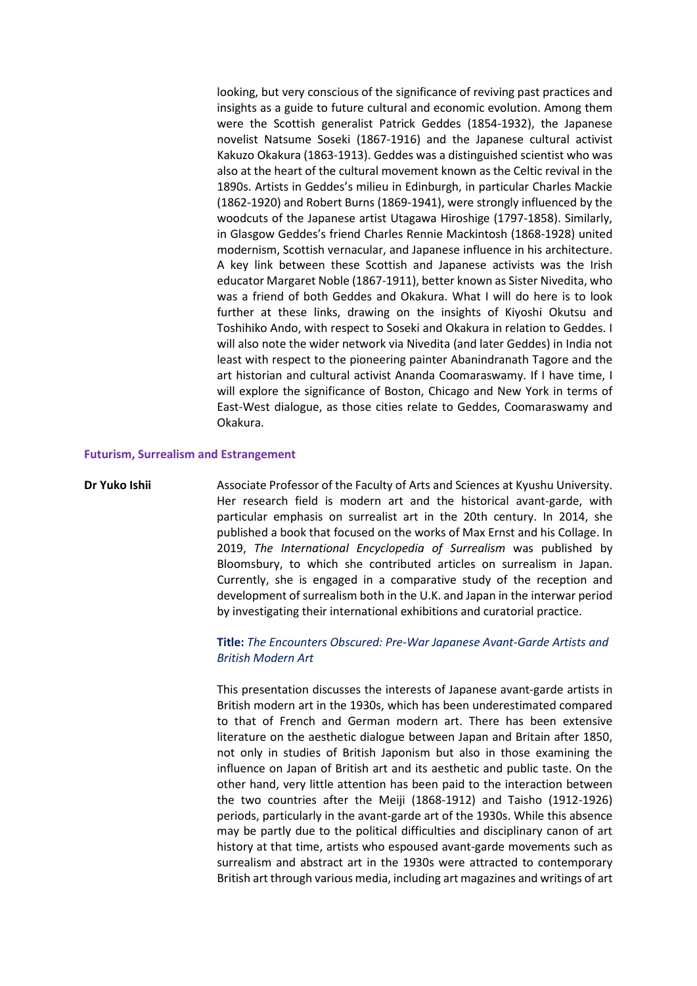looking, but very conscious of the significance of reviving past practices and insights as a guide to future cultural and economic evolution. Among them were the Scottish generalist Patrick Geddes (1854-1932), the Japanese novelist Natsume Soseki (1867-1916) and the Japanese cultural activist Kakuzo Okakura (1863-1913). Geddes was a distinguished scientist who was also at the heart of the cultural movement known as the Celtic revival in the 1890s. Artists in Geddes's milieu in Edinburgh, in particular Charles Mackie (1862-1920) and Robert Burns (1869-1941), were strongly influenced by the woodcuts of the Japanese artist Utagawa Hiroshige (1797-1858). Similarly, in Glasgow Geddes's friend Charles Rennie Mackintosh (1868-1928) united modernism, Scottish vernacular, and Japanese influence in his architecture. A key link between these Scottish and Japanese activists was the Irish educator Margaret Noble (1867-1911), better known as Sister Nivedita, who was a friend of both Geddes and Okakura. What I will do here is to look further at these links, drawing on the insights of Kiyoshi Okutsu and Toshihiko Ando, with respect to Soseki and Okakura in relation to Geddes. I will also note the wider network via Nivedita (and later Geddes) in India not least with respect to the pioneering painter Abanindranath Tagore and the art historian and cultural activist Ananda Coomaraswamy. If I have time, I will explore the significance of Boston, Chicago and New York in terms of East-West dialogue, as those cities relate to Geddes, Coomaraswamy and Okakura.

### **Futurism, Surrealism and Estrangement**

**Dr Yuko Ishii** Associate Professor of the Faculty of Arts and Sciences at Kyushu University. Her research field is modern art and the historical avant-garde, with particular emphasis on surrealist art in the 20th century. In 2014, she published a book that focused on the works of Max Ernst and his Collage. In 2019, *The International Encyclopedia of Surrealism* was published by Bloomsbury, to which she contributed articles on surrealism in Japan. Currently, she is engaged in a comparative study of the reception and development of surrealism both in the U.K. and Japan in the interwar period by investigating their international exhibitions and curatorial practice.

## **Title:** *The Encounters Obscured: Pre-War Japanese Avant-Garde Artists and British Modern Art*

This presentation discusses the interests of Japanese avant-garde artists in British modern art in the 1930s, which has been underestimated compared to that of French and German modern art. There has been extensive literature on the aesthetic dialogue between Japan and Britain after 1850, not only in studies of British Japonism but also in those examining the influence on Japan of British art and its aesthetic and public taste. On the other hand, very little attention has been paid to the interaction between the two countries after the Meiji (1868-1912) and Taisho (1912-1926) periods, particularly in the avant-garde art of the 1930s. While this absence may be partly due to the political difficulties and disciplinary canon of art history at that time, artists who espoused avant-garde movements such as surrealism and abstract art in the 1930s were attracted to contemporary British art through various media, including art magazines and writings of art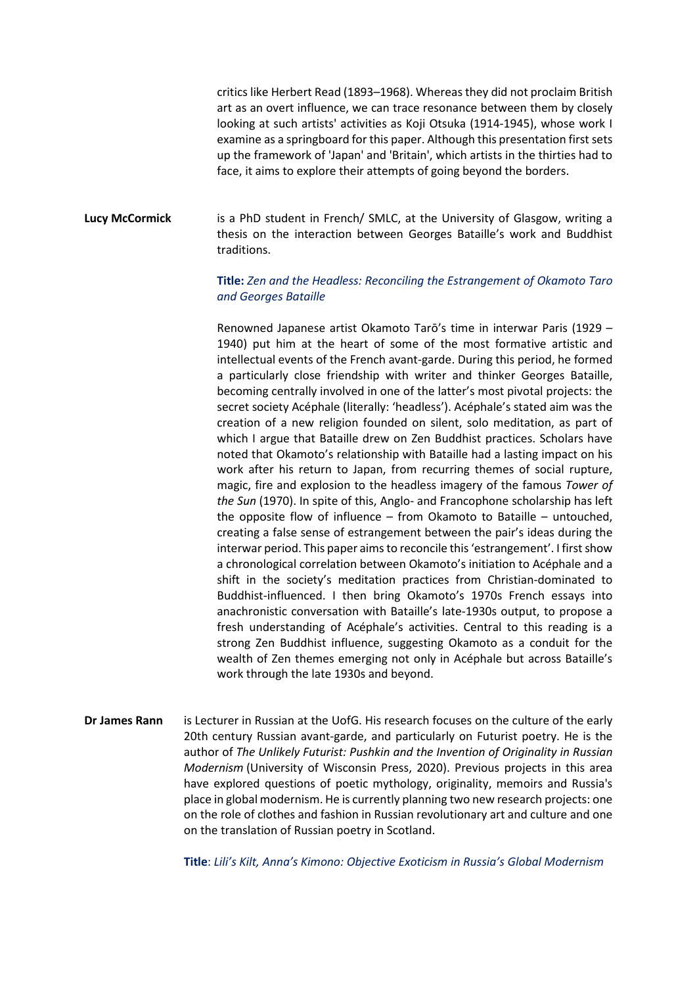critics like Herbert Read (1893–1968). Whereas they did not proclaim British art as an overt influence, we can trace resonance between them by closely looking at such artists' activities as Koji Otsuka (1914-1945), whose work I examine as a springboard for this paper. Although this presentation first sets up the framework of 'Japan' and 'Britain', which artists in the thirties had to face, it aims to explore their attempts of going beyond the borders.

**Lucy McCormick** is a PhD student in French/ SMLC, at the University of Glasgow, writing a thesis on the interaction between Georges Bataille's work and Buddhist traditions.

# **Title:** *Zen and the Headless: Reconciling the Estrangement of Okamoto Taro and Georges Bataille*

Renowned Japanese artist Okamoto Tarō's time in interwar Paris (1929 – 1940) put him at the heart of some of the most formative artistic and intellectual events of the French avant-garde. During this period, he formed a particularly close friendship with writer and thinker Georges Bataille, becoming centrally involved in one of the latter's most pivotal projects: the secret society Acéphale (literally: 'headless'). Acéphale's stated aim was the creation of a new religion founded on silent, solo meditation, as part of which I argue that Bataille drew on Zen Buddhist practices. Scholars have noted that Okamoto's relationship with Bataille had a lasting impact on his work after his return to Japan, from recurring themes of social rupture, magic, fire and explosion to the headless imagery of the famous *Tower of the Sun* (1970). In spite of this, Anglo- and Francophone scholarship has left the opposite flow of influence – from Okamoto to Bataille – untouched, creating a false sense of estrangement between the pair's ideas during the interwar period. This paper aims to reconcile this 'estrangement'. I first show a chronological correlation between Okamoto's initiation to Acéphale and a shift in the society's meditation practices from Christian-dominated to Buddhist-influenced. I then bring Okamoto's 1970s French essays into anachronistic conversation with Bataille's late-1930s output, to propose a fresh understanding of Acéphale's activities. Central to this reading is a strong Zen Buddhist influence, suggesting Okamoto as a conduit for the wealth of Zen themes emerging not only in Acéphale but across Bataille's work through the late 1930s and beyond.

**Dr James Rann** is Lecturer in Russian at the UofG. His research focuses on the culture of the early 20th century Russian avant-garde, and particularly on Futurist poetry. He is the author of *The Unlikely Futurist: Pushkin and the Invention of Originality in Russian Modernism* (University of Wisconsin Press, 2020). Previous projects in this area have explored questions of poetic mythology, originality, memoirs and Russia's place in global modernism. He is currently planning two new research projects: one on the role of clothes and fashion in Russian revolutionary art and culture and one on the translation of Russian poetry in Scotland.

**Title**: *Lili's Kilt, Anna's Kimono: Objective Exoticism in Russia's Global Modernism*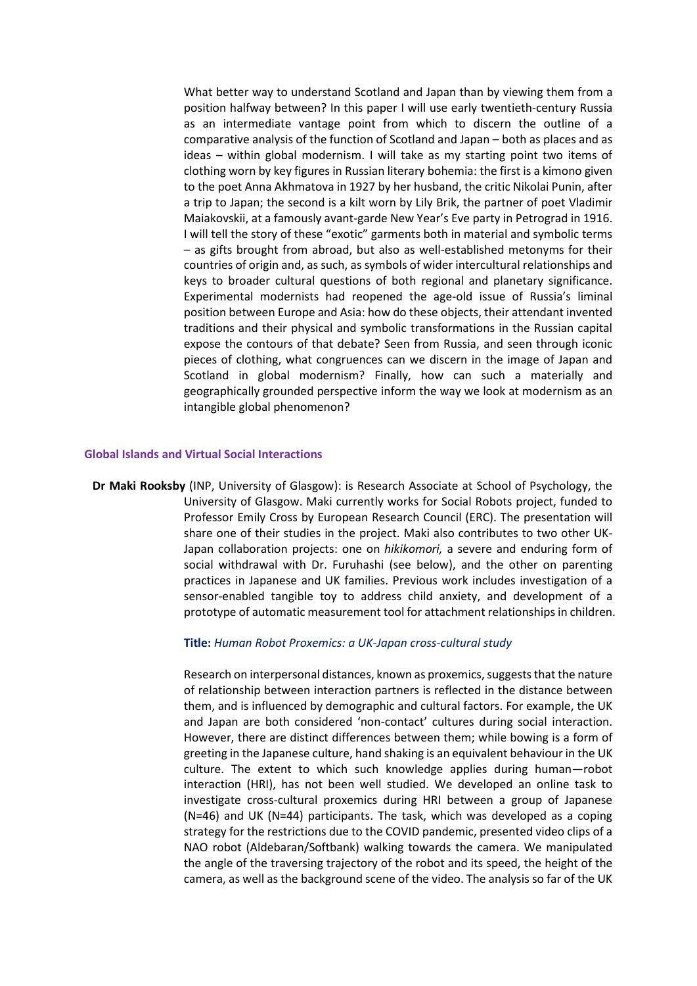What better way to understand Scotland and Japan than by viewing them from a position halfway between? In this paper I will use early twentieth-century Russia as an intermediate vantage point from which to discern the outline of a comparative analysis of the function of Scotland and Japan – both as places and as ideas – within global modernism. I will take as my starting point two items of clothing worn by key figures in Russian literary bohemia: the first is a kimono given to the poet Anna Akhmatova in 1927 by her husband, the critic Nikolai Punin, after a trip to Japan; the second is a kilt worn by Lily Brik, the partner of poet Vladimir Maiakovskii, at a famously avant-garde New Year's Eve party in Petrograd in 1916. I will tell the story of these "exotic" garments both in material and symbolic terms – as gifts brought from abroad, but also as well-established metonyms for their countries of origin and, as such, as symbols of wider intercultural relationships and keys to broader cultural questions of both regional and planetary significance. Experimental modernists had reopened the age-old issue of Russia's liminal position between Europe and Asia: how do these objects, their attendant invented traditions and their physical and symbolic transformations in the Russian capital expose the contours of that debate? Seen from Russia, and seen through iconic pieces of clothing, what congruences can we discern in the image of Japan and Scotland in global modernism? Finally, how can such a materially and geographically grounded perspective inform the way we look at modernism as an intangible global phenomenon?

# **Global Islands and Virtual Social Interactions**

**Dr Maki Rooksby** (INP, University of Glasgow): is Research Associate at School of Psychology, the University of Glasgow. Maki currently works for Social Robots project, funded to Professor Emily Cross by European Research Council (ERC). The presentation will share one of their studies in the project. Maki also contributes to two other UK-Japan collaboration projects: one on *hikikomori,* a severe and enduring form of social withdrawal with Dr. Furuhashi (see below), and the other on parenting practices in Japanese and UK families. Previous work includes investigation of a sensor-enabled tangible toy to address child anxiety, and development of a prototype of automatic measurement tool for attachment relationships in children.

### **Title:** *Human Robot Proxemics: a UK-Japan cross-cultural study*

Research on interpersonal distances, known as proxemics, suggests that the nature of relationship between interaction partners is reflected in the distance between them, and is influenced by demographic and cultural factors. For example, the UK and Japan are both considered 'non-contact' cultures during social interaction. However, there are distinct differences between them; while bowing is a form of greeting in the Japanese culture, hand shaking is an equivalent behaviour in the UK culture. The extent to which such knowledge applies during human—robot interaction (HRI), has not been well studied. We developed an online task to investigate cross-cultural proxemics during HRI between a group of Japanese (N=46) and UK (N=44) participants. The task, which was developed as a coping strategy for the restrictions due to the COVID pandemic, presented video clips of a NAO robot (Aldebaran/Softbank) walking towards the camera. We manipulated the angle of the traversing trajectory of the robot and its speed, the height of the camera, as well as the background scene of the video. The analysis so far of the UK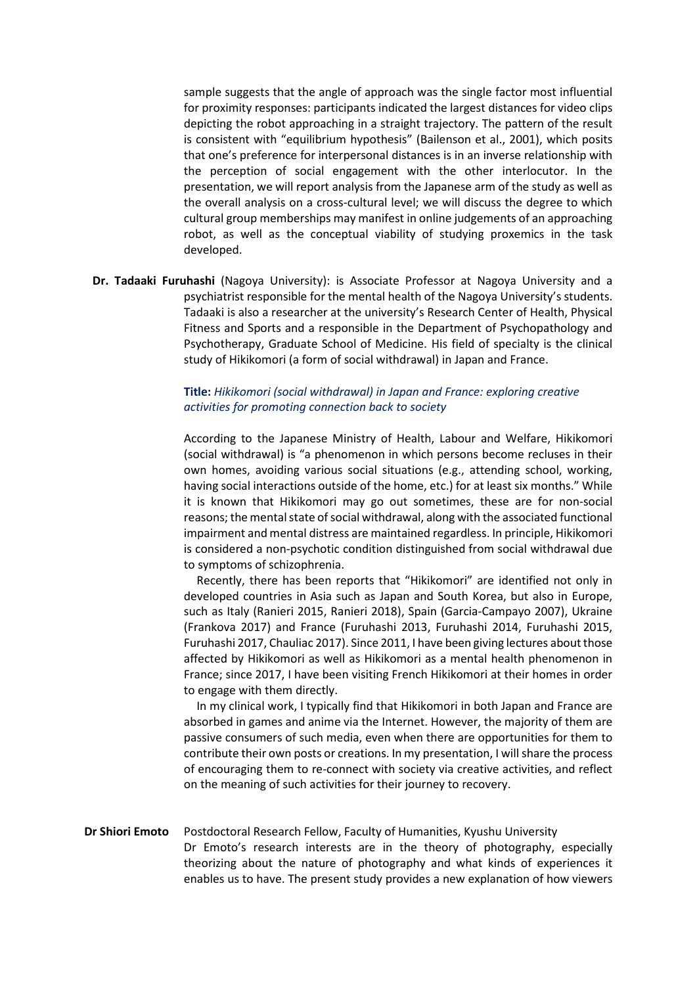sample suggests that the angle of approach was the single factor most influential for proximity responses: participants indicated the largest distances for video clips depicting the robot approaching in a straight trajectory. The pattern of the result is consistent with "equilibrium hypothesis" (Bailenson et al., 2001), which posits that one's preference for interpersonal distances is in an inverse relationship with the perception of social engagement with the other interlocutor. In the presentation, we will report analysis from the Japanese arm of the study as well as the overall analysis on a cross-cultural level; we will discuss the degree to which cultural group memberships may manifest in online judgements of an approaching robot, as well as the conceptual viability of studying proxemics in the task developed.

**Dr. Tadaaki Furuhashi** (Nagoya University): is Associate Professor at Nagoya University and a psychiatrist responsible for the mental health of the Nagoya University's students. Tadaaki is also a researcher at the university's Research Center of Health, Physical Fitness and Sports and a responsible in the Department of Psychopathology and Psychotherapy, Graduate School of Medicine. His field of specialty is the clinical study of Hikikomori (a form of social withdrawal) in Japan and France.

# **Title:** *Hikikomori (social withdrawal) in Japan and France: exploring creative activities for promoting connection back to society*

According to the Japanese Ministry of Health, Labour and Welfare, Hikikomori (social withdrawal) is "a phenomenon in which persons become recluses in their own homes, avoiding various social situations (e.g., attending school, working, having social interactions outside of the home, etc.) for at least six months." While it is known that Hikikomori may go out sometimes, these are for non-social reasons; the mental state of social withdrawal, along with the associated functional impairment and mental distress are maintained regardless. In principle, Hikikomori is considered a non-psychotic condition distinguished from social withdrawal due to symptoms of schizophrenia.

Recently, there has been reports that "Hikikomori" are identified not only in developed countries in Asia such as Japan and South Korea, but also in Europe, such as Italy (Ranieri 2015, Ranieri 2018), Spain (Garcia-Campayo 2007), Ukraine (Frankova 2017) and France (Furuhashi 2013, Furuhashi 2014, Furuhashi 2015, Furuhashi 2017, Chauliac 2017). Since 2011, I have been giving lectures about those affected by Hikikomori as well as Hikikomori as a mental health phenomenon in France; since 2017, I have been visiting French Hikikomori at their homes in order to engage with them directly.

In my clinical work, I typically find that Hikikomori in both Japan and France are absorbed in games and anime via the Internet. However, the majority of them are passive consumers of such media, even when there are opportunities for them to contribute their own posts or creations. In my presentation, I will share the process of encouraging them to re-connect with society via creative activities, and reflect on the meaning of such activities for their journey to recovery.

# **Dr Shiori Emoto** Postdoctoral Research Fellow, Faculty of Humanities, Kyushu University

Dr Emoto's research interests are in the theory of photography, especially theorizing about the nature of photography and what kinds of experiences it enables us to have. The present study provides a new explanation of how viewers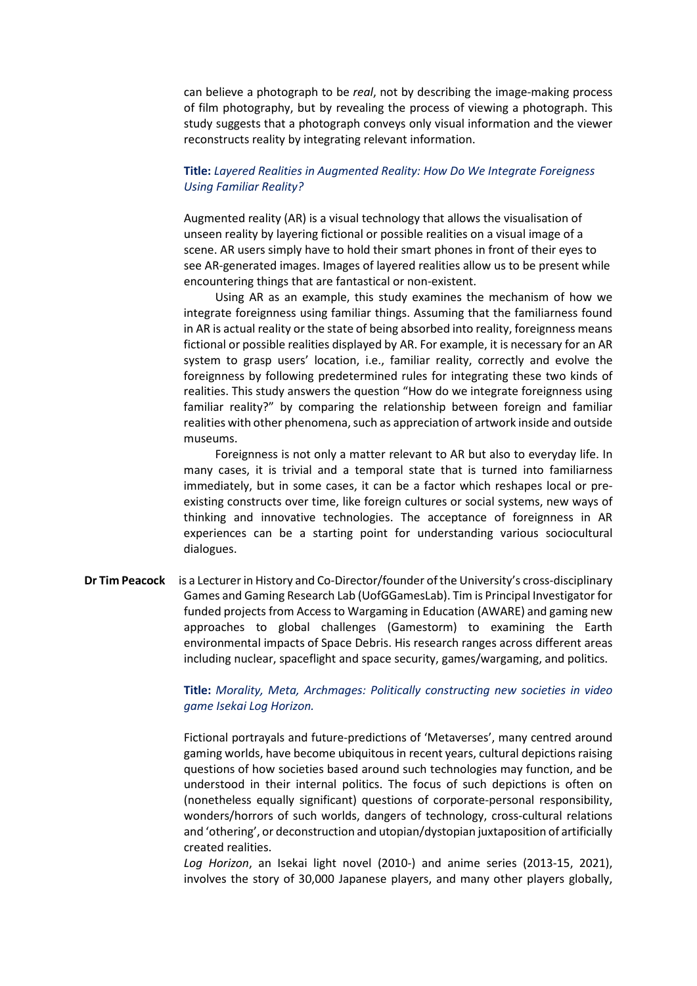can believe a photograph to be *real*, not by describing the image-making process of film photography, but by revealing the process of viewing a photograph. This study suggests that a photograph conveys only visual information and the viewer reconstructs reality by integrating relevant information.

## **Title:** *Layered Realities in Augmented Reality: How Do We Integrate Foreigness Using Familiar Reality?*

Augmented reality (AR) is a visual technology that allows the visualisation of unseen reality by layering fictional or possible realities on a visual image of a scene. AR users simply have to hold their smart phones in front of their eyes to see AR-generated images. Images of layered realities allow us to be present while encountering things that are fantastical or non-existent.

Using AR as an example, this study examines the mechanism of how we integrate foreignness using familiar things. Assuming that the familiarness found in AR is actual reality or the state of being absorbed into reality, foreignness means fictional or possible realities displayed by AR. For example, it is necessary for an AR system to grasp users' location, i.e., familiar reality, correctly and evolve the foreignness by following predetermined rules for integrating these two kinds of realities. This study answers the question "How do we integrate foreignness using familiar reality?" by comparing the relationship between foreign and familiar realities with other phenomena, such as appreciation of artwork inside and outside museums.

Foreignness is not only a matter relevant to AR but also to everyday life. In many cases, it is trivial and a temporal state that is turned into familiarness immediately, but in some cases, it can be a factor which reshapes local or preexisting constructs over time, like foreign cultures or social systems, new ways of thinking and innovative technologies. The acceptance of foreignness in AR experiences can be a starting point for understanding various sociocultural dialogues.

**Dr Tim Peacock** is a Lecturer in History and Co-Director/founder of the University's cross-disciplinary Games and Gaming Research Lab (UofGGamesLab). Tim is Principal Investigator for funded projects from Access to Wargaming in Education (AWARE) and gaming new approaches to global challenges (Gamestorm) to examining the Earth environmental impacts of Space Debris. His research ranges across different areas including nuclear, spaceflight and space security, games/wargaming, and politics.

## **Title:** *Morality, Meta, Archmages: Politically constructing new societies in video game Isekai Log Horizon.*

Fictional portrayals and future-predictions of 'Metaverses', many centred around gaming worlds, have become ubiquitous in recent years, cultural depictions raising questions of how societies based around such technologies may function, and be understood in their internal politics. The focus of such depictions is often on (nonetheless equally significant) questions of corporate-personal responsibility, wonders/horrors of such worlds, dangers of technology, cross-cultural relations and 'othering', or deconstruction and utopian/dystopian juxtaposition of artificially created realities.

*Log Horizon*, an Isekai light novel (2010-) and anime series (2013-15, 2021), involves the story of 30,000 Japanese players, and many other players globally,